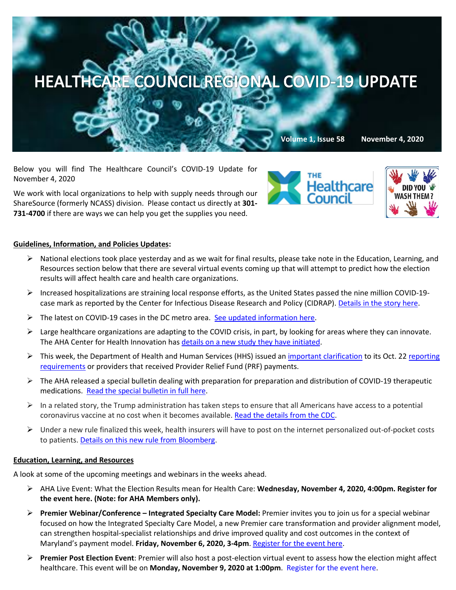

Below you will find The Healthcare Council's COVID-19 Update for November 4, 2020

We work with local organizations to help with supply needs through our ShareSource (formerly NCASS) division. Please contact us directly at **301- 731-4700** if there are ways we can help you get the supplies you need.





## **Guidelines, Information, and Policies Updates:**

- $\triangleright$  National elections took place yesterday and as we wait for final results, please take note in the Education, Learning, and Resources section below that there are several virtual events coming up that will attempt to predict how the election results will affect health care and health care organizations.
- $\triangleright$  Increased hospitalizations are straining local response efforts, as the United States passed the nine million COVID-19case mark as reported by the Center for Infectious Disease Research and Policy (CIDRAP). [Details in the story here.](https://www.hpnonline.com/surgical-critical-care/article/21160917/us-covid19-cases-surpass-nine-million?utm_source=HPN+Daily+Newsletter&utm_medium=email&utm_campaign=CPS201102053&o_eid=8887J6354667A2S&rdx.ident=%5bobject+Object%5d&oly_enc_id=8887J6354667A2S)
- $\triangleright$  The latest on COVID-19 cases in the DC metro area. [See updated information here.](https://wamu.org/series/coronavirus/)
- $\triangleright$  Large healthcare organizations are adapting to the COVID crisis, in part, by looking for areas where they can innovate. The AHA Center for Health Innovation has [details on a new study they have initiated.](https://mail.google.com/mail/u/0/#inbox/FMfcgxwKjKngCgNqTqSmvrZSCzSGRNnB)
- This week, the Department of Health and Human Services (HHS) issued an [important clarification](http://send.aha.org/link.cfm?r=DRNdBmyqH5NNcQ5D8VeBow%7E%7E&pe=1LyAMUXwxwgXjLtTKY1b0aRi_OxhA5C1B3VDjQ83IQ8FGfZGSjuJDCs0uZFruN4DPhRdMRTkKuW1dWj1rGbaSA%7E%7E&t=INSERT_TRACKING_ENCID#_blank) to its Oct. 22 reporting [requirements](http://send.aha.org/link.cfm?r=DRNdBmyqH5NNcQ5D8VeBow%7E%7E&pe=Sn4Qj6uzlkIKfdE2SeucevOhqTXkDW1nlJIy7l1sgwiLD5CjVvjIen0rgT01vTw-jZPOiW96Jb3XEczbmZIfmg%7E%7E&t=INSERT_TRACKING_ENCID#_blank) or providers that received Provider Relief Fund (PRF) payments.
- $\triangleright$  The AHA released a special bulletin dealing with preparation for preparation and distribution of COVID-19 therapeutic medications. [Read the special bulletin in full here.](https://contentsharing.net/actions/email_web_version.cfm?ep=Bdhtp-zVuqFkgQiV6-lxty0f-nrLBJWzuTngPvD-5dXn943CGaVwSw5YrtdnMnPaEenDH-_vgzIGpO6H4-zt01PQZMUljqp95PbliG5XD10cq3tC38PfHAqR3vNW7zIU)
- $\triangleright$  In a related story, the Trump administration has taken steps to ensure that all Americans have access to a potential coronavirus vaccine at no cost when it becomes available. [Read the details from the CDC.](https://www.cms.gov/newsroom/press-releases/trump-administration-acts-ensure-coverage-life-saving-covid-19-vaccines-therapeutics)
- $\triangleright$  Under a new rule finalized this week, health insurers will have to post on the internet personalized out-of-pocket costs to patients[. Details on this new rule from Bloomberg.](https://www.bloomberg.com/news/articles/2020-10-29/insurers-must-post-out-of-pocket-medical-costs-under-new-rule?mkt_tok=eyJpIjoiWmpJd056RmtOelZsT0RjeCIsInQiOiJDMUlRVnJXS3h5TWZMV245XC9mb0dGKzZnUnNBR1FxbnJMcDlhVllKeDROaVwvRHRNWUJDU1wvenR2OHNyRTZXRlMwaXdMcGV1NmVSZzNlS05QaWlJeDVYNWVNNktteitaOFdCRklqSDZuQ1ZlWTB0WTh5NWxvbENFc2FVbTF4MWp0TyJ9)

## **Education, Learning, and Resources**

A look at some of the upcoming meetings and webinars in the weeks ahead.

- AHA Live Event: What the Election Results mean for Health Care: **Wednesday, November 4, 2020, 4:00pm[. Register for](https://contentsharing.net/actions/email_web_version.cfm?ep=Bdhtp-zVuqFkgQiV6-lxty0f-nrLBJWzuTngPvD-5dVh_4HZzvTdaEuO6CrZW_SvcdsFM_2KkbDzV8Wlz7s7mI5kCNgPH9wy4Zdoad8CEPMy9lHkN46pX1nnFNewWAvI)  [the event here.](https://contentsharing.net/actions/email_web_version.cfm?ep=Bdhtp-zVuqFkgQiV6-lxty0f-nrLBJWzuTngPvD-5dVh_4HZzvTdaEuO6CrZW_SvcdsFM_2KkbDzV8Wlz7s7mI5kCNgPH9wy4Zdoad8CEPMy9lHkN46pX1nnFNewWAvI) (Note: for AHA Members only).**
- **Premier Webinar/Conference – Integrated Specialty Care Model:** Premier invites you to join us for a special webinar focused on how the Integrated Specialty Care Model, a new Premier care transformation and provider alignment model, can strengthen hospital-specialist relationships and drive improved quality and cost outcomes in the context of Maryland's payment model. **Friday, November 6, 2020, 3-4pm**[. Register for the event here.](https://cc.callinfo.com/registration/#/?meeting=1ssjp0dzo94rc&campaign=1vywnl8xdnc67)
- **Premier Post Election Event**: Premier will also host a post-election virtual event to assess how the election might affect healthcare. This event will be on **Monday, November 9, 2020 at 1:00pm**. [Register for the event here.](https://r.online-reg.com/Premier_2020ElectionResults/?needloginfields=2&redirected=/register&lf=email#login)